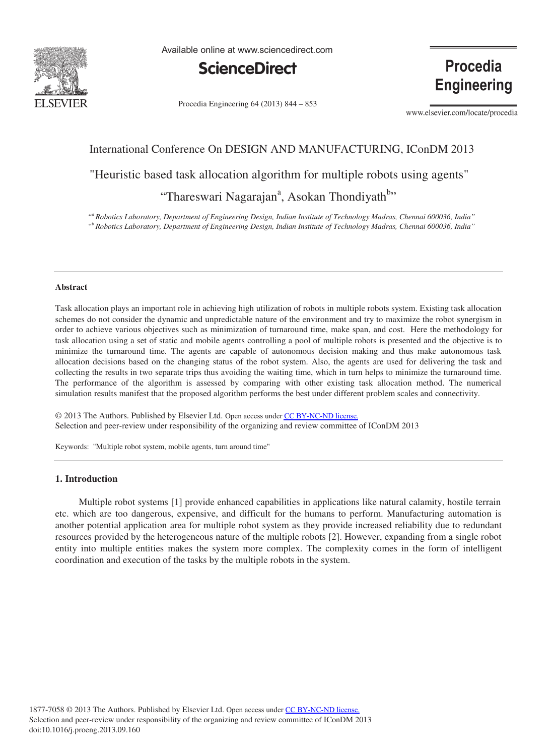

Available online at www.sciencedirect.com



**Procedia Engineering** 

Procedia Engineering 64 (2013) 844 - 853

www.elsevier.com/locate/procedia

# International Conference On DESIGN AND MANUFACTURING, IConDM 2013

"Heuristic based task allocation algorithm for multiple robots using agents"

# "Thareswari Nagarajan<sup>a</sup>, Asokan Thondiyath<sup>b,,</sup>

 *"a Robotics Laboratory, Department of Engineering Design, Indian Institute of Technology Madras, Chennai 600036, India" "b Robotics Laboratory, Department of Engineering Design, Indian Institute of Technology Madras, Chennai 600036, India"* 

#### **Abstract**

Task allocation plays an important role in achieving high utilization of robots in multiple robots system. Existing task allocation schemes do not consider the dynamic and unpredictable nature of the environment and try to maximize the robot synergism in order to achieve various objectives such as minimization of turnaround time, make span, and cost. Here the methodology for task allocation using a set of static and mobile agents controlling a pool of multiple robots is presented and the objective is to minimize the turnaround time. The agents are capable of autonomous decision making and thus make autonomous task allocation decisions based on the changing status of the robot system. Also, the agents are used for delivering the task and collecting the results in two separate trips thus avoiding the waiting time, which in turn helps to minimize the turnaround time. The performance of the algorithm is assessed by comparing with other existing task allocation method. The numerical simulation results manifest that the proposed algorithm performs the best under different problem scales and connectivity.

© 2013 The Authors. Published by Elsevier Ltd. © 2013 The Authors. Published by Elsevier Ltd. Open access under [CC BY-NC-ND license.](http://creativecommons.org/licenses/by-nc-nd/3.0/) Selection and peer-review under responsibility of the organizing and review committee of IConDM 2013. Selection and peer-review under responsibility of the organizing and review committee of IConDM 2013

Keywords: "Multiple robot system, mobile agents, turn around time"

# **1. Introduction**

 Multiple robot systems [1] provide enhanced capabilities in applications like natural calamity, hostile terrain etc. which are too dangerous, expensive, and difficult for the humans to perform. Manufacturing automation is another potential application area for multiple robot system as they provide increased reliability due to redundant resources provided by the heterogeneous nature of the multiple robots [2]. However, expanding from a single robot entity into multiple entities makes the system more complex. The complexity comes in the form of intelligent coordination and execution of the tasks by the multiple robots in the system.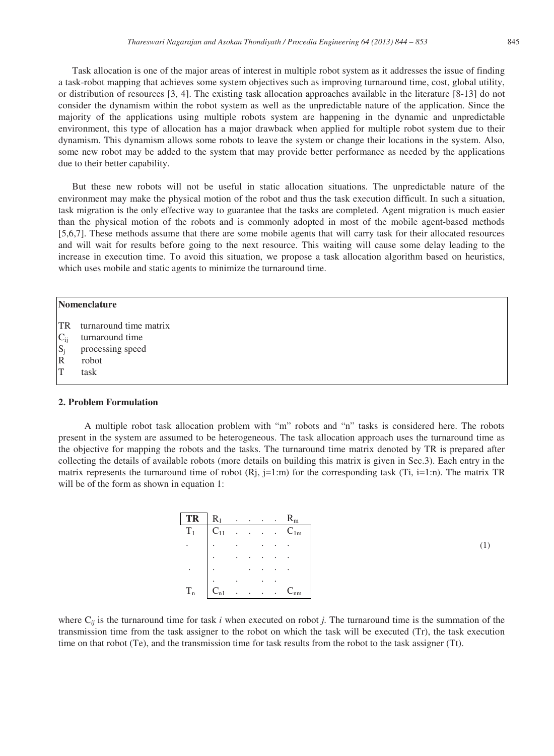Task allocation is one of the major areas of interest in multiple robot system as it addresses the issue of finding a task-robot mapping that achieves some system objectives such as improving turnaround time, cost, global utility, or distribution of resources [3, 4]. The existing task allocation approaches available in the literature [8-13] do not consider the dynamism within the robot system as well as the unpredictable nature of the application. Since the majority of the applications using multiple robots system are happening in the dynamic and unpredictable environment, this type of allocation has a major drawback when applied for multiple robot system due to their dynamism. This dynamism allows some robots to leave the system or change their locations in the system. Also, some new robot may be added to the system that may provide better performance as needed by the applications due to their better capability.

 But these new robots will not be useful in static allocation situations. The unpredictable nature of the environment may make the physical motion of the robot and thus the task execution difficult. In such a situation, task migration is the only effective way to guarantee that the tasks are completed. Agent migration is much easier than the physical motion of the robots and is commonly adopted in most of the mobile agent-based methods [5,6,7]. These methods assume that there are some mobile agents that will carry task for their allocated resources and will wait for results before going to the next resource. This waiting will cause some delay leading to the increase in execution time. To avoid this situation, we propose a task allocation algorithm based on heuristics, which uses mobile and static agents to minimize the turnaround time.

|                                                   | <b>Nomenclature</b>       |  |  |
|---------------------------------------------------|---------------------------|--|--|
|                                                   | TR turnaround time matrix |  |  |
|                                                   | turnaround time           |  |  |
| $\begin{array}{c} C_{ij} \\ S_j \\ R \end{array}$ | processing speed          |  |  |
|                                                   | robot                     |  |  |
| T                                                 | task                      |  |  |
|                                                   |                           |  |  |

## **2. Problem Formulation**

 A multiple robot task allocation problem with "m" robots and "n" tasks is considered here. The robots present in the system are assumed to be heterogeneous. The task allocation approach uses the turnaround time as the objective for mapping the robots and the tasks. The turnaround time matrix denoted by TR is prepared after collecting the details of available robots (more details on building this matrix is given in Sec.3). Each entry in the matrix represents the turnaround time of robot  $(Rj, j=1:m)$  for the corresponding task (Ti,  $j=1:n$ ). The matrix TR will be of the form as shown in equation 1:

| TR      | $R_1$    |  |  | $R_{m}$  |
|---------|----------|--|--|----------|
| $T_1$   | $C_{11}$ |  |  | $C_{1m}$ |
|         |          |  |  |          |
|         |          |  |  |          |
|         |          |  |  |          |
|         |          |  |  |          |
| $T_{n}$ | $C_{n1}$ |  |  |          |

(1)

where  $C_{ij}$  is the turnaround time for task *i* when executed on robot *j*. The turnaround time is the summation of the transmission time from the task assigner to the robot on which the task will be executed (Tr), the task execution time on that robot (Te), and the transmission time for task results from the robot to the task assigner (Tt).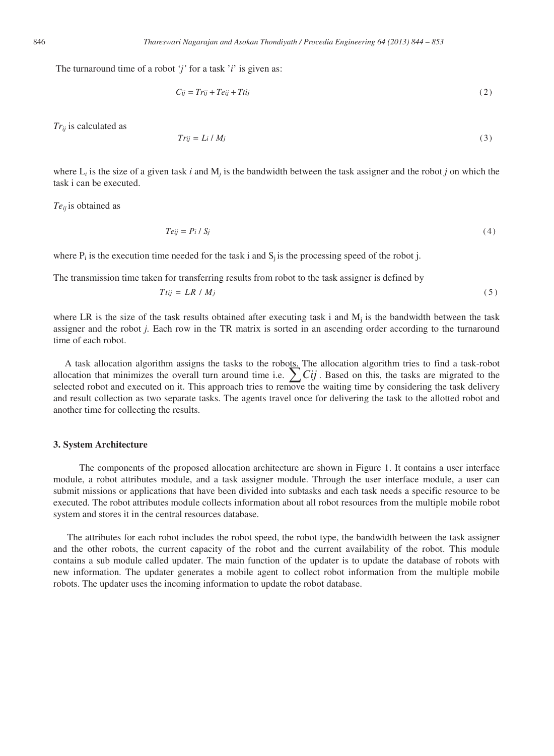The turnaround time of a robot '*j'* for a task '*i*' is given as:

$$
C_{ij} = Tr_{ij} + Te_{ij} + Ttij
$$
\n<sup>(2)</sup>

*Trij* is calculated as

$$
Trij = Li / Mj \tag{3}
$$

where  $L_i$  is the size of a given task *i* and  $M_i$  is the bandwidth between the task assigner and the robot *j* on which the task i can be executed.

*Teij* is obtained as

$$
Teij = Pi / Sj \tag{4}
$$

where  $P_i$  is the execution time needed for the task i and  $S_i$  is the processing speed of the robot j.

The transmission time taken for transferring results from robot to the task assigner is defined by

$$
T_{tij} = LR / M_j \tag{5}
$$

where LR is the size of the task results obtained after executing task i and  $M_i$  is the bandwidth between the task assigner and the robot *j.* Each row in the TR matrix is sorted in an ascending order according to the turnaround time of each robot.

A task allocation algorithm assigns the tasks to the robots. The allocation algorithm tries to find a task-robot allocation that minimizes the overall turn around time i.e.  $\sum Cij$ . Based on this, the tasks are migrated to the selected robot and executed on it. This approach tries to remove the waiting time by considering the task delivery and result collection as two separate tasks. The agents travel once for delivering the task to the allotted robot and another time for collecting the results.

#### **3. System Architecture**

 The components of the proposed allocation architecture are shown in Figure 1. It contains a user interface module, a robot attributes module, and a task assigner module. Through the user interface module, a user can submit missions or applications that have been divided into subtasks and each task needs a specific resource to be executed. The robot attributes module collects information about all robot resources from the multiple mobile robot system and stores it in the central resources database.

 The attributes for each robot includes the robot speed, the robot type, the bandwidth between the task assigner and the other robots, the current capacity of the robot and the current availability of the robot. This module contains a sub module called updater. The main function of the updater is to update the database of robots with new information. The updater generates a mobile agent to collect robot information from the multiple mobile robots. The updater uses the incoming information to update the robot database.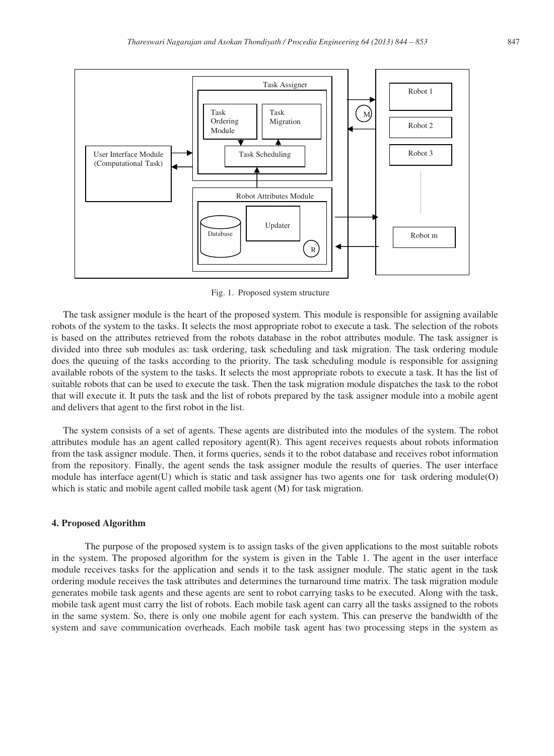

Fig. 1. Proposed system structure

The task assigner module is the heart of the proposed system. This module is responsible for assigning available robots of the system to the tasks. It selects the most appropriate robot to execute a task. The selection of the robots is based on the attributes retrieved from the robots database in the robot attributes module. The task assigner is divided into three sub modules as: task ordering, task scheduling and task migration. The task ordering module does the queuing of the tasks according to the priority. The task scheduling module is responsible for assigning available robots of the system to the tasks. It selects the most appropriate robots to execute a task. It has the list of suitable robots that can be used to execute the task. Then the task migration module dispatches the task to the robot that will execute it. It puts the task and the list of robots prepared by the task assigner module into a mobile agent and delivers that agent to the first robot in the list.

The system consists of a set of agents. These agents are distributed into the modules of the system. The robot attributes module has an agent called repository agent(R). This agent receives requests about robots information from the task assigner module. Then, it forms queries, sends it to the robot database and receives robot information from the repository. Finally, the agent sends the task assigner module the results of queries. The user interface module has interface agent(U) which is static and task assigner has two agents one for task ordering module(O) which is static and mobile agent called mobile task agent (M) for task migration.

#### **4. Proposed Algorithm**

 The purpose of the proposed system is to assign tasks of the given applications to the most suitable robots in the system. The proposed algorithm for the system is given in the Table 1. The agent in the user interface module receives tasks for the application and sends it to the task assigner module. The static agent in the task ordering module receives the task attributes and determines the turnaround time matrix. The task migration module generates mobile task agents and these agents are sent to robot carrying tasks to be executed. Along with the task, mobile task agent must carry the list of robots. Each mobile task agent can carry all the tasks assigned to the robots in the same system. So, there is only one mobile agent for each system. This can preserve the bandwidth of the system and save communication overheads. Each mobile task agent has two processing steps in the system as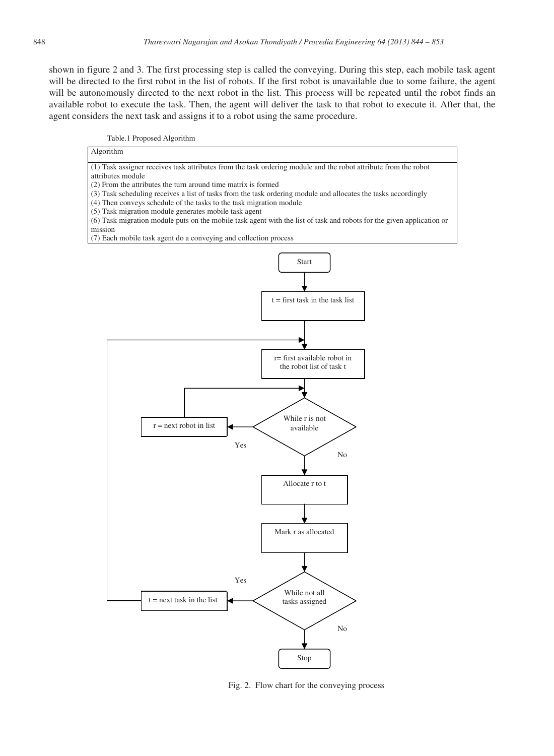shown in figure 2 and 3. The first processing step is called the conveying. During this step, each mobile task agent will be directed to the first robot in the list of robots. If the first robot is unavailable due to some failure, the agent will be autonomously directed to the next robot in the list. This process will be repeated until the robot finds an available robot to execute the task. Then, the agent will deliver the task to that robot to execute it. After that, the agent considers the next task and assigns it to a robot using the same procedure.





Fig. 2. Flow chart for the conveying process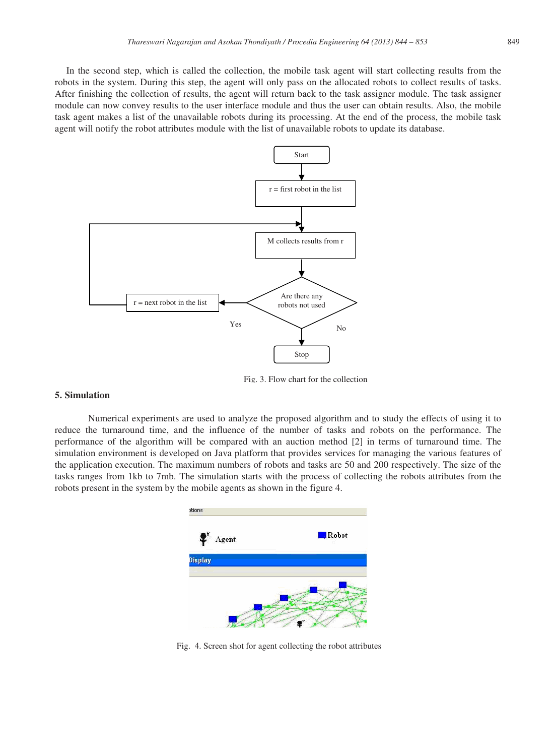In the second step, which is called the collection, the mobile task agent will start collecting results from the robots in the system. During this step, the agent will only pass on the allocated robots to collect results of tasks. After finishing the collection of results, the agent will return back to the task assigner module. The task assigner module can now convey results to the user interface module and thus the user can obtain results. Also, the mobile task agent makes a list of the unavailable robots during its processing. At the end of the process, the mobile task agent will notify the robot attributes module with the list of unavailable robots to update its database.



Fig. 3. Flow chart for the collection

### **5. Simulation**

 Numerical experiments are used to analyze the proposed algorithm and to study the effects of using it to reduce the turnaround time, and the influence of the number of tasks and robots on the performance. The performance of the algorithm will be compared with an auction method [2] in terms of turnaround time. The simulation environment is developed on Java platform that provides services for managing the various features of the application execution. The maximum numbers of robots and tasks are 50 and 200 respectively. The size of the tasks ranges from 1kb to 7mb. The simulation starts with the process of collecting the robots attributes from the robots present in the system by the mobile agents as shown in the figure 4.



Fig. 4. Screen shot for agent collecting the robot attributes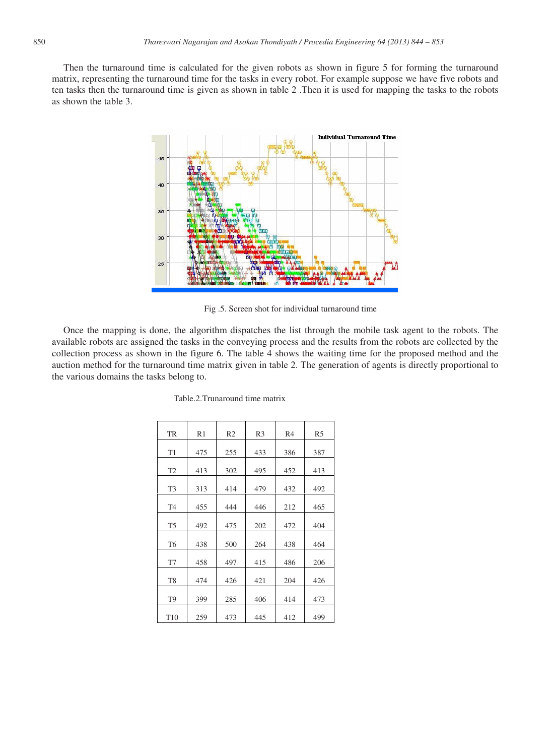Then the turnaround time is calculated for the given robots as shown in figure 5 for forming the turnaround matrix, representing the turnaround time for the tasks in every robot. For example suppose we have five robots and ten tasks then the turnaround time is given as shown in table 2 .Then it is used for mapping the tasks to the robots as shown the table 3.



Fig .5. Screen shot for individual turnaround time

Once the mapping is done, the algorithm dispatches the list through the mobile task agent to the robots. The available robots are assigned the tasks in the conveying process and the results from the robots are collected by the collection process as shown in the figure 6. The table 4 shows the waiting time for the proposed method and the auction method for the turnaround time matrix given in table 2. The generation of agents is directly proportional to the various domains the tasks belong to.

| <b>TR</b>      | R1  | R <sub>2</sub> | R <sub>3</sub> | R <sub>4</sub> | R <sub>5</sub> |
|----------------|-----|----------------|----------------|----------------|----------------|
| T1             | 475 | 255            | 433            | 386            | 387            |
| T <sub>2</sub> | 413 | 302            | 495            | 452            | 413            |
| T <sub>3</sub> | 313 | 414            | 479            | 432            | 492            |
| T <sub>4</sub> | 455 | 444            | 446            | 212            | 465            |
| T <sub>5</sub> | 492 | 475            | 202            | 472            | 404            |
| T <sub>6</sub> | 438 | 500            | 264            | 438            | 464            |
| T7             | 458 | 497            | 415            | 486            | 206            |
| T <sub>8</sub> | 474 | 426            | 421            | 204            | 426            |
| T <sub>9</sub> | 399 | 285            | 406            | 414            | 473            |
| T10            | 259 | 473            | 445            | 412            | 499            |

Table.2.Trunaround time matrix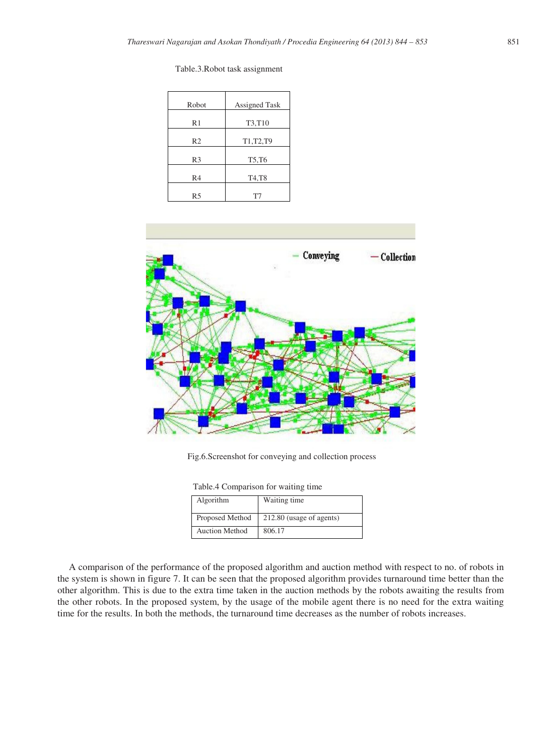| Robot          | <b>Assigned Task</b> |
|----------------|----------------------|
| R1             | T3,T10               |
| R <sub>2</sub> | T1, T2, T9           |
| R <sub>3</sub> | T5, T6               |
| R <sub>4</sub> | T4,T8                |
| R5             | T7                   |

Table.3.Robot task assignment



Fig.6.Screenshot for conveying and collection process

| Table.4 Comparison for waiting time |  |
|-------------------------------------|--|
|-------------------------------------|--|

| Algorithm             | Waiting time             |
|-----------------------|--------------------------|
| Proposed Method       | 212.80 (usage of agents) |
| <b>Auction Method</b> | 806.17                   |

A comparison of the performance of the proposed algorithm and auction method with respect to no. of robots in the system is shown in figure 7. It can be seen that the proposed algorithm provides turnaround time better than the other algorithm. This is due to the extra time taken in the auction methods by the robots awaiting the results from the other robots. In the proposed system, by the usage of the mobile agent there is no need for the extra waiting time for the results. In both the methods, the turnaround time decreases as the number of robots increases.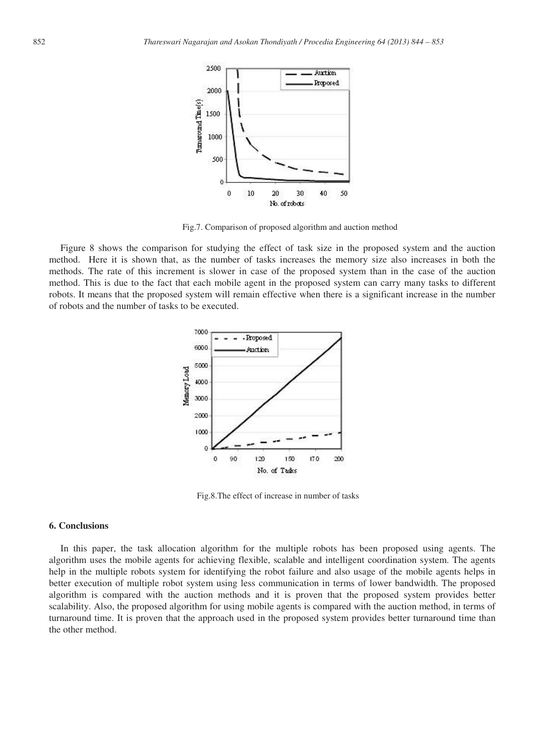

Fig.7. Comparison of proposed algorithm and auction method

Figure 8 shows the comparison for studying the effect of task size in the proposed system and the auction method. Here it is shown that, as the number of tasks increases the memory size also increases in both the methods. The rate of this increment is slower in case of the proposed system than in the case of the auction method. This is due to the fact that each mobile agent in the proposed system can carry many tasks to different robots. It means that the proposed system will remain effective when there is a significant increase in the number of robots and the number of tasks to be executed.



Fig.8.The effect of increase in number of tasks

# **6. Conclusions**

In this paper, the task allocation algorithm for the multiple robots has been proposed using agents. The algorithm uses the mobile agents for achieving flexible, scalable and intelligent coordination system. The agents help in the multiple robots system for identifying the robot failure and also usage of the mobile agents helps in better execution of multiple robot system using less communication in terms of lower bandwidth. The proposed algorithm is compared with the auction methods and it is proven that the proposed system provides better scalability. Also, the proposed algorithm for using mobile agents is compared with the auction method, in terms of turnaround time. It is proven that the approach used in the proposed system provides better turnaround time than the other method.